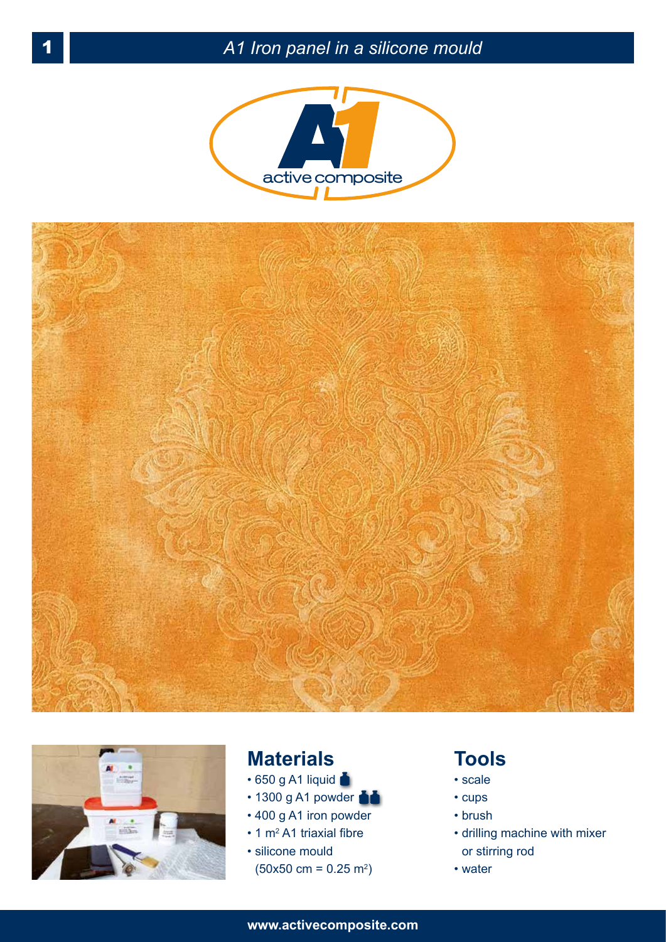





## **Materials**

- $\cdot$  650 g A1 liquid
- 1300 g A1 powder
- 400 g A1 iron powder
- $\cdot$  1 m<sup>2</sup> A1 triaxial fibre
- silicone mould  $(50x50 \text{ cm} = 0.25 \text{ m}^2)$

## **Tools**

- scale
- cups
- brush
- drilling machine with mixer or stirring rod
- water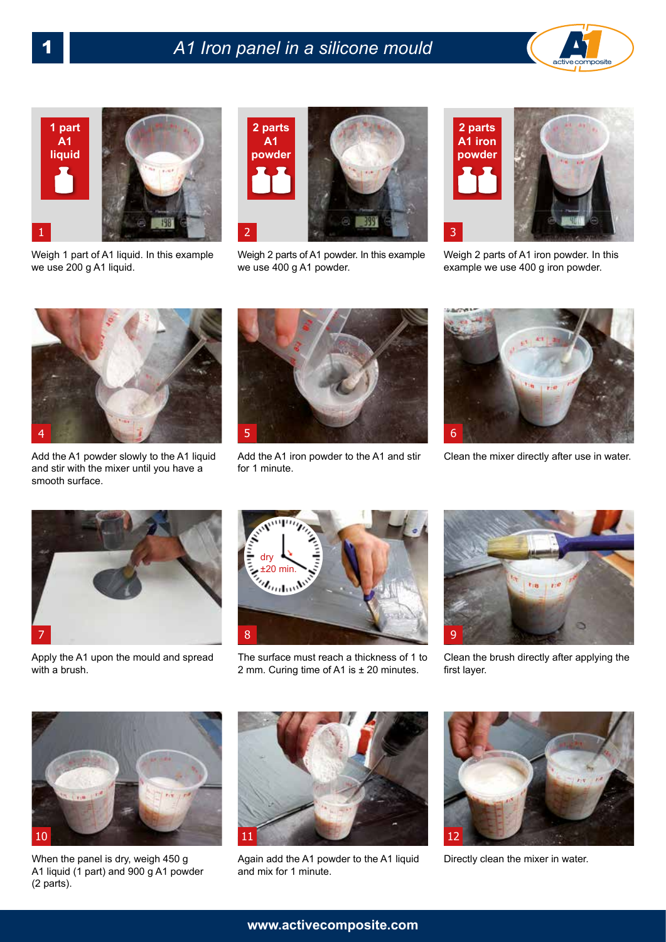



Weigh 1 part of A1 liquid. In this example we use 200 g A1 liquid.



Weigh 2 parts of A1 powder. In this example we use 400 g A1 powder.



Weigh 2 parts of A1 iron powder. In this example we use 400 g iron powder.



Add the A1 powder slowly to the A1 liquid and stir with the mixer until you have a smooth surface.



Add the A1 iron powder to the A1 and stir for 1 minute.



Clean the mixer directly after use in water.



Apply the A1 upon the mould and spread with a brush.



The surface must reach a thickness of 1 to 2 mm. Curing time of A1 is ± 20 minutes.



Clean the brush directly after applying the first layer.



When the panel is dry, weigh 450 g A1 liquid (1 part) and 900 g A1 powder (2 parts).



Again add the A1 powder to the A1 liquid Directly clean the mixer in water. and mix for 1 minute.

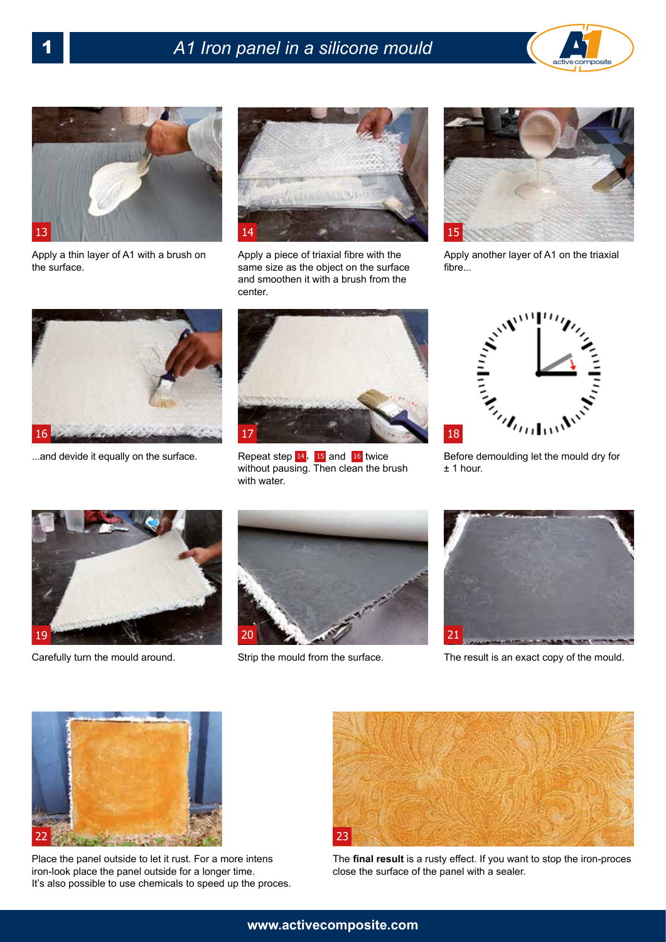## 1 *A1 Iron panel in a silicone mould*





Apply a thin layer of A1 with a brush on the surface.



Apply a piece of triaxial fibre with the same size as the object on the surface and smoothen it with a brush from the center.



Apply another layer of A1 on the triaxial fibre...



...and devide it equally on the surface.



Repeat step  $14$ ,  $15$  and  $16$  twice without pausing. Then clean the brush with water.



± 1 hour.



Carefully turn the mould around.





Strip the mould from the surface. The result is an exact copy of the mould.



Place the panel outside to let it rust. For a more intens iron-look place the panel outside for a longer time. It's also possible to use chemicals to speed up the proces.



The **final result** is a rusty effect. If you want to stop the iron-proces close the surface of the panel with a sealer.